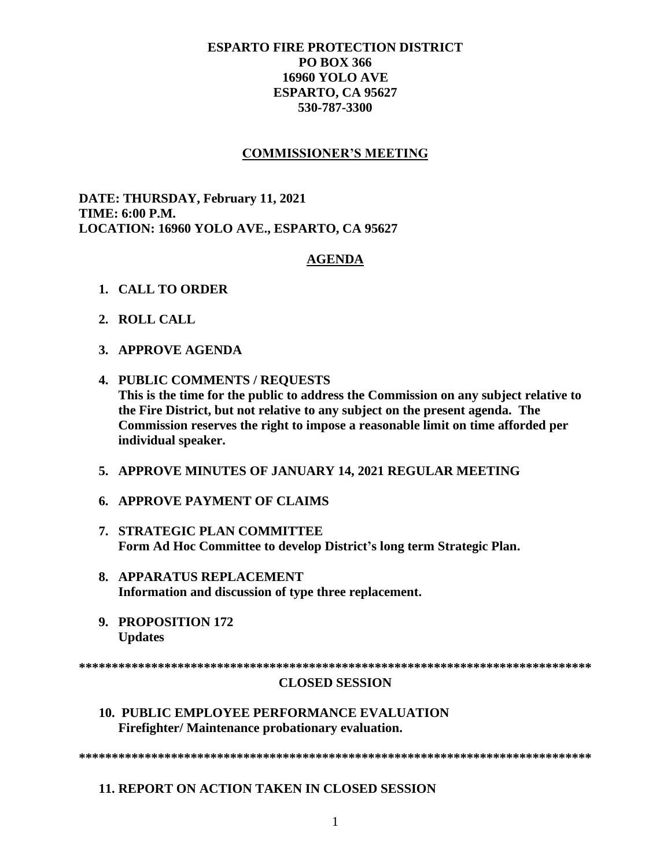# **ESPARTO FIRE PROTECTION DISTRICT PO BOX 366 16960 YOLO AVE** ESPARTO, CA 95627 530-787-3300

## **COMMISSIONER'S MEETING**

DATE: THURSDAY, February 11, 2021 **TIME: 6:00 P.M.** LOCATION: 16960 YOLO AVE., ESPARTO, CA 95627

### **AGENDA**

- 1. CALL TO ORDER
- 2. ROLL CALL
- 3. APPROVE AGENDA
- 4. PUBLIC COMMENTS / REQUESTS This is the time for the public to address the Commission on any subject relative to the Fire District, but not relative to any subject on the present agenda. The Commission reserves the right to impose a reasonable limit on time afforded per individual speaker.
- 5. APPROVE MINUTES OF JANUARY 14, 2021 REGULAR MEETING
- **6. APPROVE PAYMENT OF CLAIMS**
- 7. STRATEGIC PLAN COMMITTEE Form Ad Hoc Committee to develop District's long term Strategic Plan.
- 8. APPARATUS REPLACEMENT Information and discussion of type three replacement.
- 9. PROPOSITION 172 **Updates**

#### **CLOSED SESSION**

**10. PUBLIC EMPLOYEE PERFORMANCE EVALUATION** Firefighter/Maintenance probationary evaluation.

**11. REPORT ON ACTION TAKEN IN CLOSED SESSION**